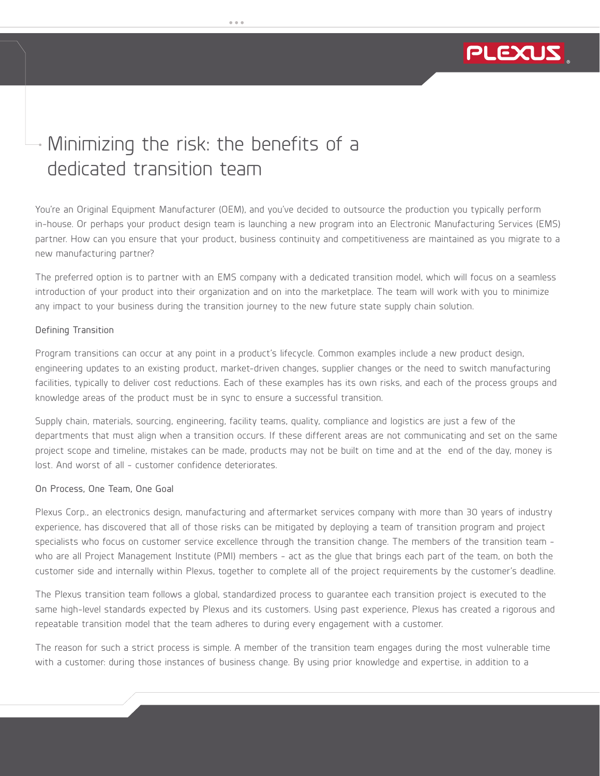# PLEXUS *The Product Realization Company*

# Minimizing the risk: the benefits of a dedicated transition team

You're an Original Equipment Manufacturer (OEM), and you've decided to outsource the production you typically perform in-house. Or perhaps your product design team is launching a new program into an Electronic Manufacturing Services (EMS) partner. How can you ensure that your product, business continuity and competitiveness are maintained as you migrate to a new manufacturing partner?

The preferred option is to partner with an EMS company with a dedicated transition model, which will focus on a seamless introduction of your product into their organization and on into the marketplace. The team will work with you to minimize any impact to your business during the transition journey to the new future state supply chain solution.

#### Defining Transition

Program transitions can occur at any point in a product's lifecycle. Common examples include a new product design, engineering updates to an existing product, market-driven changes, supplier changes or the need to switch manufacturing facilities, typically to deliver cost reductions. Each of these examples has its own risks, and each of the process groups and knowledge areas of the product must be in sync to ensure a successful transition.

Supply chain, materials, sourcing, engineering, facility teams, quality, compliance and logistics are just a few of the departments that must align when a transition occurs. If these different areas are not communicating and set on the same project scope and timeline, mistakes can be made, products may not be built on time and at the end of the day, money is lost. And worst of all - customer confidence deteriorates.

#### On Process, One Team, One Goal

Plexus Corp., an electronics design, manufacturing and aftermarket services company with more than 30 years of industry experience, has discovered that all of those risks can be mitigated by deploying a team of transition program and project specialists who focus on customer service excellence through the transition change. The members of the transition team who are all Project Management Institute (PMI) members - act as the glue that brings each part of the team, on both the customer side and internally within Plexus, together to complete all of the project requirements by the customer's deadline.

The Plexus transition team follows a global, standardized process to guarantee each transition project is executed to the same high-level standards expected by Plexus and its customers. Using past experience, Plexus has created a rigorous and repeatable transition model that the team adheres to during every engagement with a customer.

The reason for such a strict process is simple. A member of the transition team engages during the most vulnerable time with a customer: during those instances of business change. By using prior knowledge and expertise, in addition to a